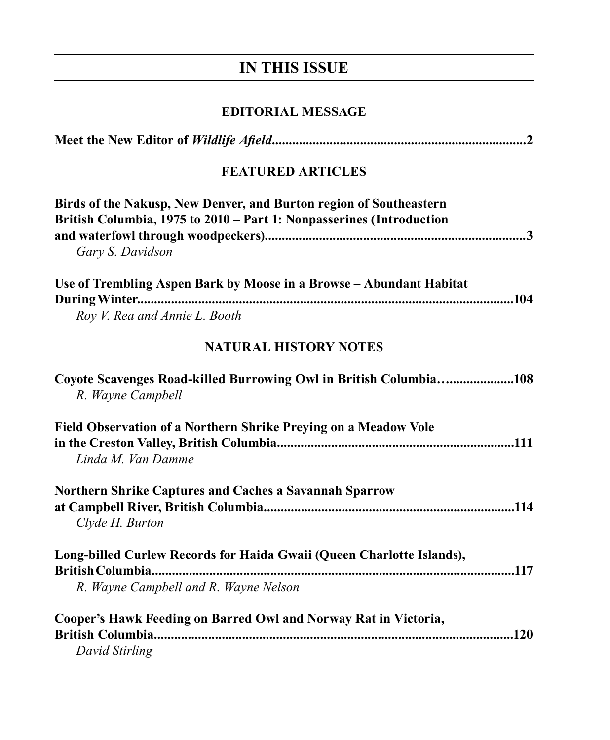# **IN THIS ISSUE**

# **EDITORIAL MESSAGE**

| <b>FEATURED ARTICLES</b>                                                                                                                                       |
|----------------------------------------------------------------------------------------------------------------------------------------------------------------|
| Birds of the Nakusp, New Denver, and Burton region of Southeastern<br>British Columbia, 1975 to 2010 - Part 1: Nonpasserines (Introduction<br>Gary S. Davidson |
| Use of Trembling Aspen Bark by Moose in a Browse – Abundant Habitat                                                                                            |
| Roy V. Rea and Annie L. Booth                                                                                                                                  |
| <b>NATURAL HISTORY NOTES</b>                                                                                                                                   |
| Coyote Scavenges Road-killed Burrowing Owl in British Columbia108<br>R. Wayne Campbell                                                                         |
| Field Observation of a Northern Shrike Preying on a Meadow Vole<br>Linda M. Van Damme                                                                          |
| <b>Northern Shrike Captures and Caches a Savannah Sparrow</b><br>Clyde H. Burton                                                                               |
| Long-billed Curlew Records for Haida Gwaii (Queen Charlotte Islands),<br>R. Wayne Campbell and R. Wayne Nelson                                                 |
| Cooper's Hawk Feeding on Barred Owl and Norway Rat in Victoria,<br>David Stirling                                                                              |